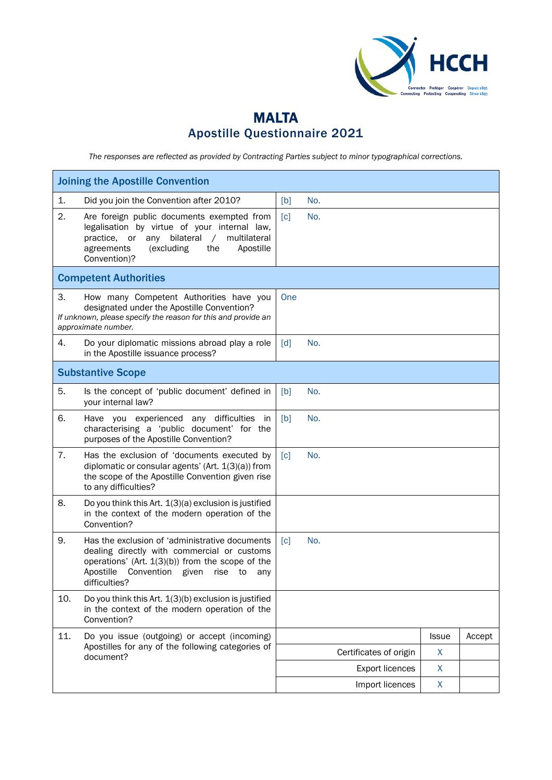

## MALTA Apostille Questionnaire 2021

*The responses are reflected as provided by Contracting Parties subject to minor typographical corrections.*

| <b>Joining the Apostille Convention</b> |                                                                                                                                                                                                                              |                   |     |                        |              |        |
|-----------------------------------------|------------------------------------------------------------------------------------------------------------------------------------------------------------------------------------------------------------------------------|-------------------|-----|------------------------|--------------|--------|
| 1.                                      | Did you join the Convention after 2010?                                                                                                                                                                                      | [b]               | No. |                        |              |        |
| 2.                                      | Are foreign public documents exempted from<br>legalisation by virtue of your internal law,<br>any bilateral<br>multilateral<br>practice,<br>or<br>$\sqrt{2}$<br>(excluding<br>Apostille<br>agreements<br>the<br>Convention)? | $\lceil c \rceil$ | No. |                        |              |        |
|                                         | <b>Competent Authorities</b>                                                                                                                                                                                                 |                   |     |                        |              |        |
| 3.                                      | How many Competent Authorities have you<br>designated under the Apostille Convention?<br>If unknown, please specify the reason for this and provide an<br>approximate number.                                                | One               |     |                        |              |        |
| 4.                                      | Do your diplomatic missions abroad play a role<br>in the Apostille issuance process?                                                                                                                                         | $\lceil d \rceil$ | No. |                        |              |        |
| <b>Substantive Scope</b>                |                                                                                                                                                                                                                              |                   |     |                        |              |        |
| 5.                                      | Is the concept of 'public document' defined in<br>your internal law?                                                                                                                                                         | [b]               | No. |                        |              |        |
| 6.                                      | Have you experienced any difficulties<br>in<br>characterising a 'public document' for the<br>purposes of the Apostille Convention?                                                                                           | [b]               | No. |                        |              |        |
| 7.                                      | Has the exclusion of 'documents executed by<br>diplomatic or consular agents' (Art. $1(3)(a)$ ) from<br>the scope of the Apostille Convention given rise<br>to any difficulties?                                             | $\lceil c \rceil$ | No. |                        |              |        |
| 8.                                      | Do you think this Art. 1(3)(a) exclusion is justified<br>in the context of the modern operation of the<br>Convention?                                                                                                        |                   |     |                        |              |        |
| 9.                                      | Has the exclusion of 'administrative documents<br>dealing directly with commercial or customs<br>operations' (Art. 1(3)(b)) from the scope of the<br>Apostille<br>Convention given<br>rise<br>to<br>any<br>difficulties?     | $\lceil c \rceil$ | No. |                        |              |        |
| 10.                                     | Do you think this Art. 1(3)(b) exclusion is justified<br>in the context of the modern operation of the<br>Convention?                                                                                                        |                   |     |                        |              |        |
| 11.                                     | Do you issue (outgoing) or accept (incoming)<br>Apostilles for any of the following categories of<br>document?                                                                                                               |                   |     |                        | <b>Issue</b> | Accept |
|                                         |                                                                                                                                                                                                                              |                   |     | Certificates of origin | X            |        |
|                                         |                                                                                                                                                                                                                              |                   |     | <b>Export licences</b> | X            |        |
|                                         |                                                                                                                                                                                                                              |                   |     | Import licences        | X            |        |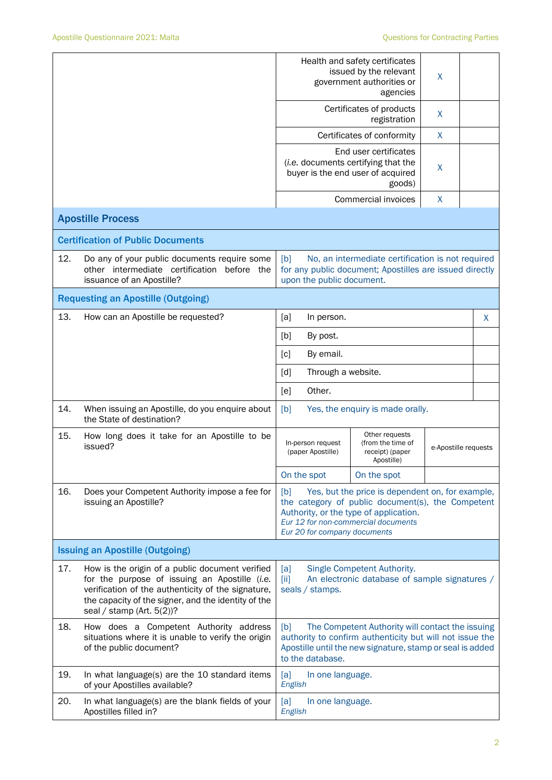|                                        |                                                                                                                                                                                                                                               | Health and safety certificates<br>issued by the relevant<br>X<br>government authorities or<br>agencies                                                                                               |                                        |                                                                                                                                                                                        |                      |   |
|----------------------------------------|-----------------------------------------------------------------------------------------------------------------------------------------------------------------------------------------------------------------------------------------------|------------------------------------------------------------------------------------------------------------------------------------------------------------------------------------------------------|----------------------------------------|----------------------------------------------------------------------------------------------------------------------------------------------------------------------------------------|----------------------|---|
|                                        |                                                                                                                                                                                                                                               | Certificates of products<br>registration                                                                                                                                                             |                                        | $\mathsf{X}$                                                                                                                                                                           |                      |   |
|                                        |                                                                                                                                                                                                                                               | Certificates of conformity                                                                                                                                                                           |                                        | X                                                                                                                                                                                      |                      |   |
|                                        |                                                                                                                                                                                                                                               |                                                                                                                                                                                                      |                                        | End user certificates<br>(i.e. documents certifying that the<br>buyer is the end user of acquired<br>goods)                                                                            | X                    |   |
|                                        |                                                                                                                                                                                                                                               |                                                                                                                                                                                                      |                                        | Commercial invoices                                                                                                                                                                    | $\mathsf{X}$         |   |
|                                        | <b>Apostille Process</b>                                                                                                                                                                                                                      |                                                                                                                                                                                                      |                                        |                                                                                                                                                                                        |                      |   |
|                                        | <b>Certification of Public Documents</b>                                                                                                                                                                                                      |                                                                                                                                                                                                      |                                        |                                                                                                                                                                                        |                      |   |
| 12.                                    | Do any of your public documents require some<br>other intermediate certification before the<br>issuance of an Apostille?                                                                                                                      | [b]                                                                                                                                                                                                  | upon the public document.              | No, an intermediate certification is not required<br>for any public document; Apostilles are issued directly                                                                           |                      |   |
|                                        | <b>Requesting an Apostille (Outgoing)</b>                                                                                                                                                                                                     |                                                                                                                                                                                                      |                                        |                                                                                                                                                                                        |                      |   |
| 13.                                    | How can an Apostille be requested?                                                                                                                                                                                                            | [a]                                                                                                                                                                                                  | In person.                             |                                                                                                                                                                                        |                      | X |
|                                        |                                                                                                                                                                                                                                               | [b]                                                                                                                                                                                                  | By post.                               |                                                                                                                                                                                        |                      |   |
|                                        |                                                                                                                                                                                                                                               | $\lceil c \rceil$                                                                                                                                                                                    | By email.                              |                                                                                                                                                                                        |                      |   |
|                                        |                                                                                                                                                                                                                                               | $\lceil d \rceil$                                                                                                                                                                                    | Through a website.                     |                                                                                                                                                                                        |                      |   |
|                                        |                                                                                                                                                                                                                                               | [e]                                                                                                                                                                                                  | Other.                                 |                                                                                                                                                                                        |                      |   |
| 14.                                    | When issuing an Apostille, do you enquire about<br>the State of destination?                                                                                                                                                                  | Yes, the enquiry is made orally.<br>[b]                                                                                                                                                              |                                        |                                                                                                                                                                                        |                      |   |
| 15.                                    | How long does it take for an Apostille to be<br>issued?                                                                                                                                                                                       |                                                                                                                                                                                                      | In-person request<br>(paper Apostille) | Other requests<br>(from the time of<br>receipt) (paper<br>Apostille)                                                                                                                   | e-Apostille requests |   |
|                                        |                                                                                                                                                                                                                                               |                                                                                                                                                                                                      | On the spot                            | On the spot                                                                                                                                                                            |                      |   |
| 16.                                    | Does your Competent Authority impose a fee for<br>issuing an Apostille?                                                                                                                                                                       | [b]                                                                                                                                                                                                  | Eur 20 for company documents           | Yes, but the price is dependent on, for example,<br>the category of public document(s), the Competent<br>Authority, or the type of application.<br>Eur 12 for non-commercial documents |                      |   |
| <b>Issuing an Apostille (Outgoing)</b> |                                                                                                                                                                                                                                               |                                                                                                                                                                                                      |                                        |                                                                                                                                                                                        |                      |   |
| 17.                                    | How is the origin of a public document verified<br>for the purpose of issuing an Apostille (i.e.<br>verification of the authenticity of the signature,<br>the capacity of the signer, and the identity of the<br>seal / stamp (Art. $5(2)$ )? | Single Competent Authority.<br>[a]<br>An electronic database of sample signatures /<br>[iii]<br>seals / stamps.                                                                                      |                                        |                                                                                                                                                                                        |                      |   |
| 18.                                    | How does a Competent Authority address<br>situations where it is unable to verify the origin<br>of the public document?                                                                                                                       | [b]<br>The Competent Authority will contact the issuing<br>authority to confirm authenticity but will not issue the<br>Apostille until the new signature, stamp or seal is added<br>to the database. |                                        |                                                                                                                                                                                        |                      |   |
| 19.                                    | In what language(s) are the 10 standard items<br>of your Apostilles available?                                                                                                                                                                | [a]<br>In one language.<br>English                                                                                                                                                                   |                                        |                                                                                                                                                                                        |                      |   |
| 20.                                    | In what language(s) are the blank fields of your<br>Apostilles filled in?                                                                                                                                                                     | [a]<br>English                                                                                                                                                                                       | In one language.                       |                                                                                                                                                                                        |                      |   |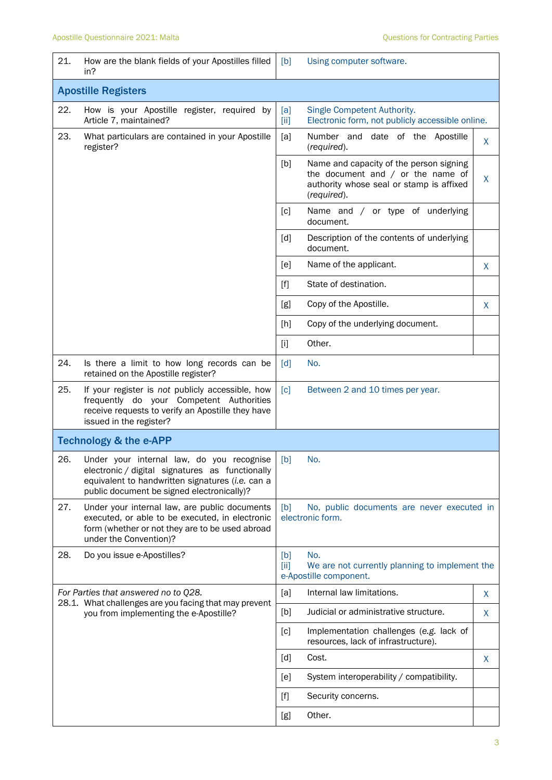| 21.                                                                                             | How are the blank fields of your Apostilles filled<br>in?                                                                                                                                      | [b]                                                                                                                                                                                                                                                   | Using computer software.                                                                                                                  |         |  |
|-------------------------------------------------------------------------------------------------|------------------------------------------------------------------------------------------------------------------------------------------------------------------------------------------------|-------------------------------------------------------------------------------------------------------------------------------------------------------------------------------------------------------------------------------------------------------|-------------------------------------------------------------------------------------------------------------------------------------------|---------|--|
| <b>Apostille Registers</b>                                                                      |                                                                                                                                                                                                |                                                                                                                                                                                                                                                       |                                                                                                                                           |         |  |
| 22.                                                                                             | How is your Apostille register, required by<br>Article 7, maintained?                                                                                                                          | [a]<br>[iii]                                                                                                                                                                                                                                          | Single Competent Authority.<br>Electronic form, not publicly accessible online.                                                           |         |  |
| 23.                                                                                             | What particulars are contained in your Apostille<br>register?                                                                                                                                  | [a]                                                                                                                                                                                                                                                   | Number and date of the Apostille<br>(required).                                                                                           | X       |  |
|                                                                                                 |                                                                                                                                                                                                | [b]                                                                                                                                                                                                                                                   | Name and capacity of the person signing<br>the document and $/$ or the name of<br>authority whose seal or stamp is affixed<br>(required). | $\sf X$ |  |
|                                                                                                 |                                                                                                                                                                                                | $\lceil c \rceil$                                                                                                                                                                                                                                     | Name and / or type of underlying<br>document.                                                                                             |         |  |
|                                                                                                 |                                                                                                                                                                                                | [d]                                                                                                                                                                                                                                                   | Description of the contents of underlying<br>document.                                                                                    |         |  |
|                                                                                                 |                                                                                                                                                                                                | [e]                                                                                                                                                                                                                                                   | Name of the applicant.                                                                                                                    | X       |  |
|                                                                                                 |                                                                                                                                                                                                | $[f]$                                                                                                                                                                                                                                                 | State of destination.                                                                                                                     |         |  |
|                                                                                                 |                                                                                                                                                                                                | [g]                                                                                                                                                                                                                                                   | Copy of the Apostille.                                                                                                                    | X       |  |
|                                                                                                 |                                                                                                                                                                                                | [h]                                                                                                                                                                                                                                                   | Copy of the underlying document.                                                                                                          |         |  |
|                                                                                                 |                                                                                                                                                                                                | $[1]$                                                                                                                                                                                                                                                 | Other.                                                                                                                                    |         |  |
| 24.                                                                                             | Is there a limit to how long records can be<br>retained on the Apostille register?                                                                                                             | [d]                                                                                                                                                                                                                                                   | No.                                                                                                                                       |         |  |
| 25.                                                                                             | If your register is not publicly accessible, how<br>frequently do your Competent Authorities<br>receive requests to verify an Apostille they have<br>issued in the register?                   | $\lceil c \rceil$<br>Between 2 and 10 times per year.                                                                                                                                                                                                 |                                                                                                                                           |         |  |
| <b>Technology &amp; the e-APP</b>                                                               |                                                                                                                                                                                                |                                                                                                                                                                                                                                                       |                                                                                                                                           |         |  |
| 26.                                                                                             | Under your internal law, do you recognise<br>electronic / digital signatures as functionally<br>equivalent to handwritten signatures (i.e. can a<br>public document be signed electronically)? | [b]                                                                                                                                                                                                                                                   | No.                                                                                                                                       |         |  |
| 27.                                                                                             | Under your internal law, are public documents<br>executed, or able to be executed, in electronic<br>form (whether or not they are to be used abroad<br>under the Convention)?                  | [b]<br>No, public documents are never executed in<br>electronic form.                                                                                                                                                                                 |                                                                                                                                           |         |  |
| 28.                                                                                             | Do you issue e-Apostilles?                                                                                                                                                                     | [b]<br>$\left[\text{iii}\right]$                                                                                                                                                                                                                      | No.<br>We are not currently planning to implement the<br>e-Apostille component.                                                           |         |  |
|                                                                                                 | For Parties that answered no to Q28.                                                                                                                                                           | [a]                                                                                                                                                                                                                                                   | Internal law limitations.                                                                                                                 | X       |  |
| 28.1. What challenges are you facing that may prevent<br>you from implementing the e-Apostille? | [b]                                                                                                                                                                                            | Judicial or administrative structure.                                                                                                                                                                                                                 | X                                                                                                                                         |         |  |
|                                                                                                 |                                                                                                                                                                                                | [c]                                                                                                                                                                                                                                                   | Implementation challenges (e.g. lack of<br>resources, lack of infrastructure).                                                            |         |  |
|                                                                                                 |                                                                                                                                                                                                | [d]                                                                                                                                                                                                                                                   | Cost.                                                                                                                                     | X       |  |
|                                                                                                 |                                                                                                                                                                                                | [e]                                                                                                                                                                                                                                                   | System interoperability / compatibility.                                                                                                  |         |  |
|                                                                                                 |                                                                                                                                                                                                | $[f] % \begin{center} % \includegraphics[width=\linewidth]{imagesSupplemental_3.png} % \end{center} % \caption { % Our method can be used for the use of the image. % Note that the \emph{Left:} \label{fig:case} \vspace{-1em} % \label{fig:case} %$ | Security concerns.                                                                                                                        |         |  |
|                                                                                                 |                                                                                                                                                                                                | [g]                                                                                                                                                                                                                                                   | Other.                                                                                                                                    |         |  |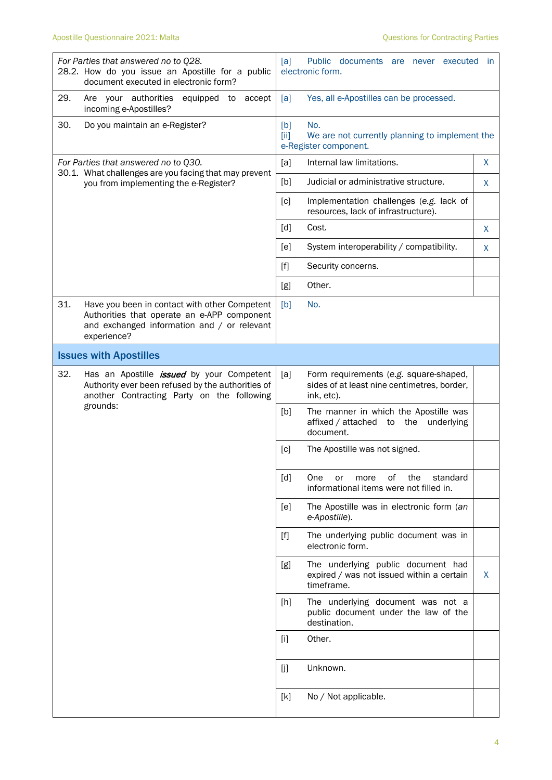| For Parties that answered no to Q28.<br>28.2. How do you issue an Apostille for a public<br>document executed in electronic form?                                 | Public documents are never executed<br>[a]<br>- in<br>electronic form.                                     |
|-------------------------------------------------------------------------------------------------------------------------------------------------------------------|------------------------------------------------------------------------------------------------------------|
| 29.<br>Are your authorities<br>equipped to<br>accept<br>incoming e-Apostilles?                                                                                    | Yes, all e-Apostilles can be processed.<br>[a]                                                             |
| 30.<br>Do you maintain an e-Register?                                                                                                                             | No.<br>[b]<br>[iii]<br>We are not currently planning to implement the<br>e-Register component.             |
| For Parties that answered no to Q30.                                                                                                                              | Internal law limitations.<br>X<br>[a]                                                                      |
| 30.1. What challenges are you facing that may prevent<br>you from implementing the e-Register?                                                                    | Judicial or administrative structure.<br>[b]<br>X                                                          |
|                                                                                                                                                                   | $\lceil c \rceil$<br>Implementation challenges (e.g. lack of<br>resources, lack of infrastructure).        |
|                                                                                                                                                                   | $\lceil d \rceil$<br>Cost.<br>X                                                                            |
|                                                                                                                                                                   | System interoperability / compatibility.<br>[e]<br>X                                                       |
|                                                                                                                                                                   | $[f]$<br>Security concerns.                                                                                |
|                                                                                                                                                                   | Other.<br>[g]                                                                                              |
| 31.<br>Have you been in contact with other Competent<br>Authorities that operate an e-APP component<br>and exchanged information and / or relevant<br>experience? | [b]<br>No.                                                                                                 |
| <b>Issues with Apostilles</b>                                                                                                                                     |                                                                                                            |
| 32.<br>Has an Apostille <i>issued</i> by your Competent<br>Authority ever been refused by the authorities of<br>another Contracting Party on the following        | [a]<br>Form requirements (e.g. square-shaped,<br>sides of at least nine centimetres, border,<br>ink, etc). |
| grounds:                                                                                                                                                          | [b]<br>The manner in which the Apostille was<br>affixed / attached<br>the<br>underlying<br>to<br>document. |
|                                                                                                                                                                   | [c]<br>The Apostille was not signed.                                                                       |
|                                                                                                                                                                   | [d]<br>of<br>the<br>standard<br>One<br>or<br>more<br>informational items were not filled in.               |
|                                                                                                                                                                   | The Apostille was in electronic form (an<br>[e]<br>e-Apostille).                                           |
|                                                                                                                                                                   | The underlying public document was in<br>$[f]$<br>electronic form.                                         |
|                                                                                                                                                                   | The underlying public document had<br>[g]<br>expired / was not issued within a certain<br>X<br>timeframe.  |
|                                                                                                                                                                   | The underlying document was not a<br>[h]<br>public document under the law of the<br>destination.           |
|                                                                                                                                                                   | Other.<br>$[1]$                                                                                            |
|                                                                                                                                                                   | Unknown.<br>[j]                                                                                            |
|                                                                                                                                                                   | [k]<br>No / Not applicable.                                                                                |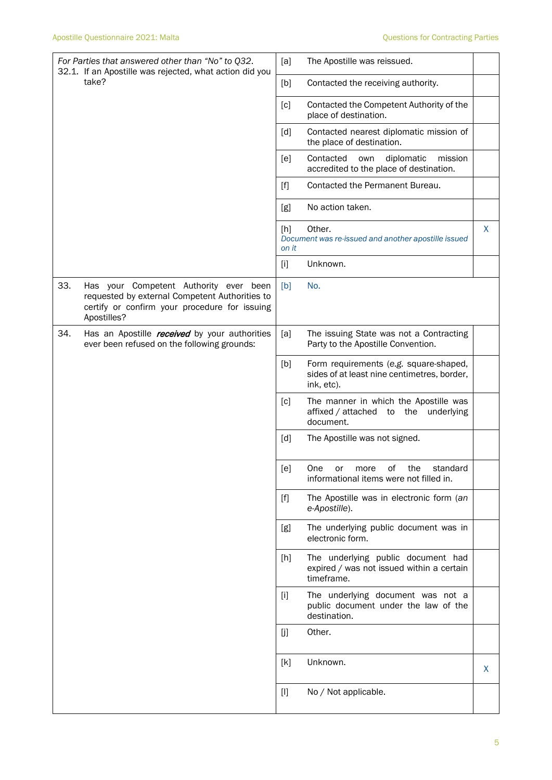| For Parties that answered other than "No" to Q32.<br>32.1. If an Apostille was rejected, what action did you                                                    | [a]<br>The Apostille was reissued.                                                                         |   |
|-----------------------------------------------------------------------------------------------------------------------------------------------------------------|------------------------------------------------------------------------------------------------------------|---|
| take?                                                                                                                                                           | [b]<br>Contacted the receiving authority.                                                                  |   |
|                                                                                                                                                                 | [c]<br>Contacted the Competent Authority of the<br>place of destination.                                   |   |
|                                                                                                                                                                 | Contacted nearest diplomatic mission of<br>[d]<br>the place of destination.                                |   |
|                                                                                                                                                                 | Contacted<br>diplomatic<br>[e]<br>own<br>mission<br>accredited to the place of destination.                |   |
|                                                                                                                                                                 | Contacted the Permanent Bureau.<br>$[f]$                                                                   |   |
|                                                                                                                                                                 | No action taken.<br>[g]                                                                                    |   |
|                                                                                                                                                                 | Other.<br>[h]<br>Document was re-issued and another apostille issued<br>on it                              | X |
|                                                                                                                                                                 | Unknown.<br>$[1]$                                                                                          |   |
| 33.<br>Has your Competent Authority ever been<br>requested by external Competent Authorities to<br>certify or confirm your procedure for issuing<br>Apostilles? | [b]<br>No.                                                                                                 |   |
| 34.<br>Has an Apostille received by your authorities<br>ever been refused on the following grounds:                                                             | The issuing State was not a Contracting<br>[a]<br>Party to the Apostille Convention.                       |   |
|                                                                                                                                                                 | Form requirements (e.g. square-shaped,<br>[b]<br>sides of at least nine centimetres, border,<br>ink, etc). |   |
|                                                                                                                                                                 | [c]<br>The manner in which the Apostille was<br>affixed / attached to the underlying<br>document.          |   |
|                                                                                                                                                                 | [d]<br>The Apostille was not signed.                                                                       |   |
|                                                                                                                                                                 | [e]<br>One or more of the standard<br>informational items were not filled in.                              |   |
|                                                                                                                                                                 | The Apostille was in electronic form (an<br>$[f]$<br>e-Apostille).                                         |   |
|                                                                                                                                                                 | The underlying public document was in<br>[g]<br>electronic form.                                           |   |
|                                                                                                                                                                 | The underlying public document had<br>[h]<br>expired / was not issued within a certain<br>timeframe.       |   |
|                                                                                                                                                                 | The underlying document was not a<br>$[1]$<br>public document under the law of the<br>destination.         |   |
|                                                                                                                                                                 | Other.<br>[j]                                                                                              |   |
|                                                                                                                                                                 | Unknown.<br>[k]                                                                                            | X |
|                                                                                                                                                                 | No / Not applicable.<br>$[1]$                                                                              |   |